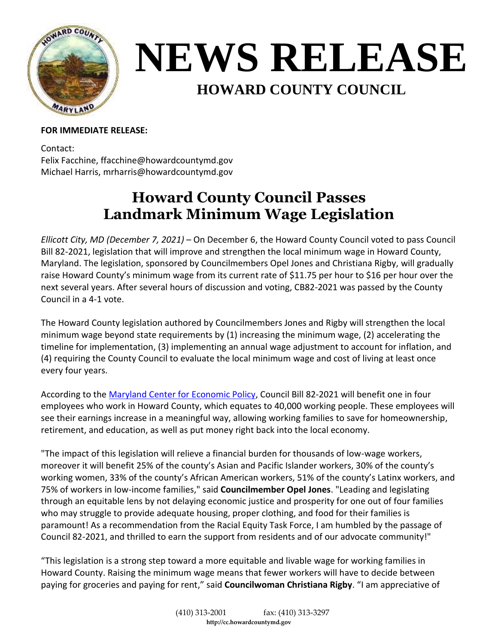

## **NEWS RELEASE HOWARD COUNTY COUNCIL**

## **FOR IMMEDIATE RELEASE:**

Contact: Felix Facchine, ffacchine@howardcountymd.gov Michael Harris, mrharris@howardcountymd.gov

## **Howard County Council Passes Landmark Minimum Wage Legislation**

*Ellicott City, MD (December 7, 2021)* – On December 6, the Howard County Council voted to pass Council Bill 82-2021, legislation that will improve and strengthen the local minimum wage in Howard County, Maryland. The legislation, sponsored by Councilmembers Opel Jones and Christiana Rigby, will gradually raise Howard County's minimum wage from its current rate of \$11.75 per hour to \$16 per hour over the next several years. After several hours of discussion and voting, CB82-2021 was passed by the County Council in a 4-1 vote.

The Howard County legislation authored by Councilmembers Jones and Rigby will strengthen the local minimum wage beyond state requirements by (1) increasing the minimum wage, (2) accelerating the timeline for implementation, (3) implementing an annual wage adjustment to account for inflation, and (4) requiring the County Council to evaluate the local minimum wage and cost of living at least once every four years.

According to the [Maryland Center for Economic Policy,](http://www.mdeconomy.org/howard-minimum-wage/) Council Bill 82-2021 will benefit one in four employees who work in Howard County, which equates to 40,000 working people. These employees will see their earnings increase in a meaningful way, allowing working families to save for homeownership, retirement, and education, as well as put money right back into the local economy.

"The impact of this legislation will relieve a financial burden for thousands of low-wage workers, moreover it will benefit 25% of the county's Asian and Pacific Islander workers, 30% of the county's working women, 33% of the county's African American workers, 51% of the county's Latinx workers, and 75% of workers in low-income families," said **Councilmember Opel Jones**. "Leading and legislating through an equitable lens by not delaying economic justice and prosperity for one out of four families who may struggle to provide adequate housing, proper clothing, and food for their families is paramount! As a recommendation from the Racial Equity Task Force, I am humbled by the passage of Council 82-2021, and thrilled to earn the support from residents and of our advocate community!"

"This legislation is a strong step toward a more equitable and livable wage for working families in Howard County. Raising the minimum wage means that fewer workers will have to decide between paying for groceries and paying for rent," said **Councilwoman Christiana Rigby**. "I am appreciative of